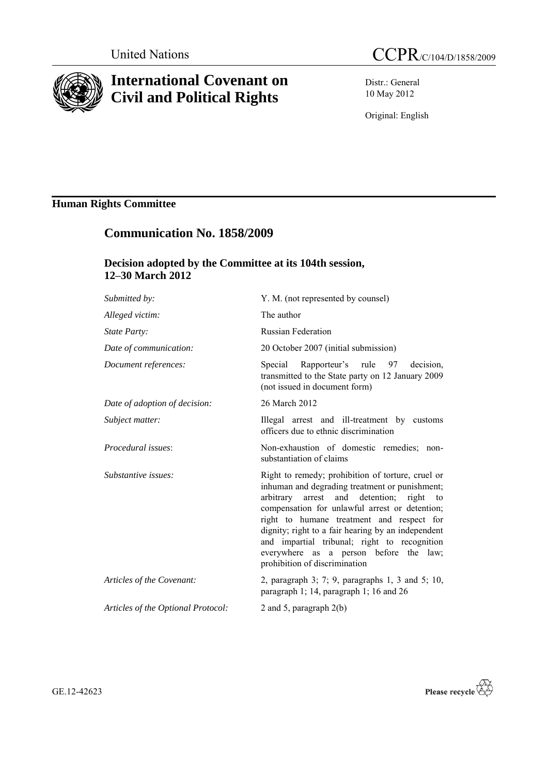

# **International Covenant on Civil and Political Rights**

Distr.: General 10 May 2012

Original: English

# **Human Rights Committee**

# **Communication No. 1858/2009**

## **Decision adopted by the Committee at its 104th session, 12–30 March 2012**

| Y. M. (not represented by counsel)                                                                                                                                                                                                                                                                                                                                                                                              |
|---------------------------------------------------------------------------------------------------------------------------------------------------------------------------------------------------------------------------------------------------------------------------------------------------------------------------------------------------------------------------------------------------------------------------------|
| The author                                                                                                                                                                                                                                                                                                                                                                                                                      |
| <b>Russian Federation</b>                                                                                                                                                                                                                                                                                                                                                                                                       |
| 20 October 2007 (initial submission)                                                                                                                                                                                                                                                                                                                                                                                            |
| Special Rapporteur's rule 97<br>decision,<br>transmitted to the State party on 12 January 2009<br>(not issued in document form)                                                                                                                                                                                                                                                                                                 |
| 26 March 2012                                                                                                                                                                                                                                                                                                                                                                                                                   |
| Illegal arrest and ill-treatment by customs<br>officers due to ethnic discrimination                                                                                                                                                                                                                                                                                                                                            |
| Non-exhaustion of domestic remedies; non-<br>substantiation of claims                                                                                                                                                                                                                                                                                                                                                           |
| Right to remedy; prohibition of torture, cruel or<br>inhuman and degrading treatment or punishment;<br>arbitrary arrest and detention; right to<br>compensation for unlawful arrest or detention;<br>right to humane treatment and respect for<br>dignity; right to a fair hearing by an independent<br>and impartial tribunal; right to recognition<br>everywhere as a person before the law;<br>prohibition of discrimination |
| 2, paragraph 3; 7; 9, paragraphs 1, 3 and 5; 10,<br>paragraph 1; 14, paragraph 1; 16 and 26                                                                                                                                                                                                                                                                                                                                     |
| 2 and 5, paragraph $2(b)$                                                                                                                                                                                                                                                                                                                                                                                                       |
|                                                                                                                                                                                                                                                                                                                                                                                                                                 |

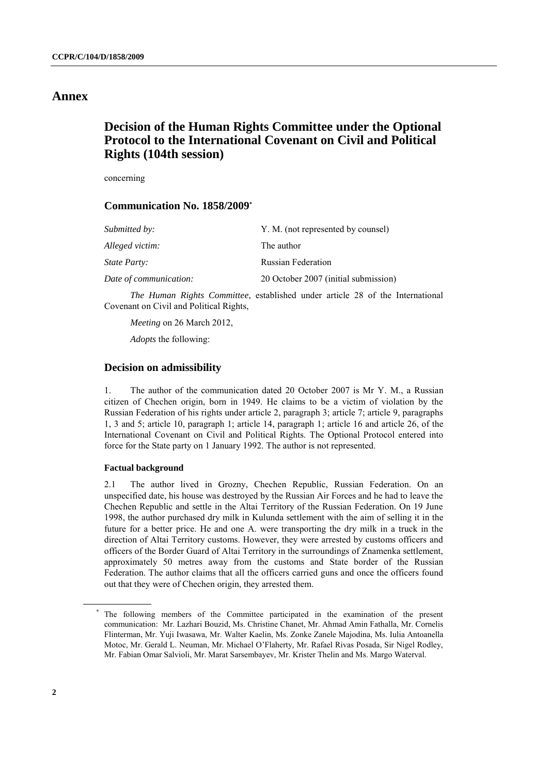## **Annex**

## **Decision of the Human Rights Committee under the Optional Protocol to the International Covenant on Civil and Political Rights (104th session)**

concerning

### **Communication No. 1858/2009\***

| Submitted by:          | Y. M. (not represented by counsel)   |
|------------------------|--------------------------------------|
| Alleged victim:        | The author                           |
| <i>State Party:</i>    | <b>Russian Federation</b>            |
| Date of communication: | 20 October 2007 (initial submission) |

*The Human Rights Committee*, established under article 28 of the International Covenant on Civil and Political Rights,

*Meeting* on 26 March 2012,

*Adopts* the following:

## **Decision on admissibility**

1. The author of the communication dated 20 October 2007 is Mr Y. M., a Russian citizen of Chechen origin, born in 1949. He claims to be a victim of violation by the Russian Federation of his rights under article 2, paragraph 3; article 7; article 9, paragraphs 1, 3 and 5; article 10, paragraph 1; article 14, paragraph 1; article 16 and article 26, of the International Covenant on Civil and Political Rights. The Optional Protocol entered into force for the State party on 1 January 1992. The author is not represented.

### **Factual background**

2.1 The author lived in Grozny, Chechen Republic, Russian Federation. On an unspecified date, his house was destroyed by the Russian Air Forces and he had to leave the Chechen Republic and settle in the Altai Territory of the Russian Federation. On 19 June 1998, the author purchased dry milk in Kulunda settlement with the aim of selling it in the future for a better price. He and one A. were transporting the dry milk in a truck in the direction of Altai Territory customs. However, they were arrested by customs officers and officers of the Border Guard of Altai Territory in the surroundings of Znamenka settlement, approximately 50 metres away from the customs and State border of the Russian Federation. The author claims that all the officers carried guns and once the officers found out that they were of Chechen origin, they arrested them.

<sup>\*</sup> The following members of the Committee participated in the examination of the present communication: Mr. Lazhari Bouzid, Ms. Christine Chanet, Mr. Ahmad Amin Fathalla, Mr. Cornelis Flinterman, Mr. Yuji Iwasawa, Mr. Walter Kaelin, Ms. Zonke Zanele Majodina, Ms. Iulia Antoanella Motoc, Mr. Gerald L. Neuman, Mr. Michael O'Flaherty, Mr. Rafael Rivas Posada, Sir Nigel Rodley, Mr. Fabian Omar Salvioli, Mr. Marat Sarsembayev, Mr. Krister Thelin and Ms. Margo Waterval.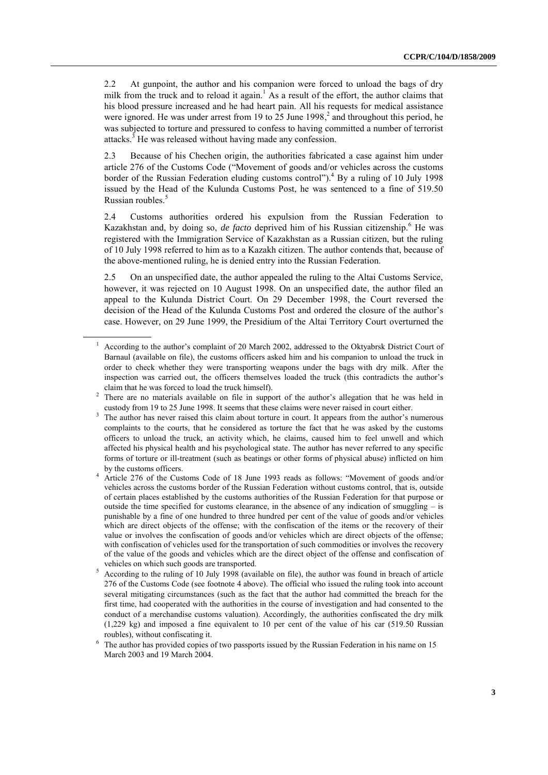2.2 At gunpoint, the author and his companion were forced to unload the bags of dry milk from the truck and to reload it again.<sup>1</sup> As a result of the effort, the author claims that his blood pressure increased and he had heart pain. All his requests for medical assistance were ignored. He was under arrest from 19 to 25 June 1998,<sup>2</sup> and throughout this period, he was subjected to torture and pressured to confess to having committed a number of terrorist attacks.<sup>3</sup> He was released without having made any confession.

2.3 Because of his Chechen origin, the authorities fabricated a case against him under article 276 of the Customs Code ("Movement of goods and/or vehicles across the customs border of the Russian Federation eluding customs control"). <sup>4</sup> By a ruling of 10 July 1998 issued by the Head of the Kulunda Customs Post, he was sentenced to a fine of 519.50 Russian roubles.<sup>5</sup>

2.4 Customs authorities ordered his expulsion from the Russian Federation to Kazakhstan and, by doing so, *de facto* deprived him of his Russian citizenship.<sup>6</sup> He was registered with the Immigration Service of Kazakhstan as a Russian citizen, but the ruling of 10 July 1998 referred to him as to a Kazakh citizen. The author contends that, because of the above-mentioned ruling, he is denied entry into the Russian Federation.

2.5 On an unspecified date, the author appealed the ruling to the Altai Customs Service, however, it was rejected on 10 August 1998. On an unspecified date, the author filed an appeal to the Kulunda District Court. On 29 December 1998, the Court reversed the decision of the Head of the Kulunda Customs Post and ordered the closure of the author's case. However, on 29 June 1999, the Presidium of the Altai Territory Court overturned the

<sup>1</sup> According to the author's complaint of 20 March 2002, addressed to the Oktyabrsk District Court of Barnaul (available on file), the customs officers asked him and his companion to unload the truck in order to check whether they were transporting weapons under the bags with dry milk. After the inspection was carried out, the officers themselves loaded the truck (this contradicts the author's claim that he was forced to load the truck himself).

<sup>&</sup>lt;sup>2</sup> There are no materials available on file in support of the author's allegation that he was held in custody from 19 to 25 June 1998. It seems that these claims were never raised in court either.

<sup>&</sup>lt;sup>3</sup> The author has never raised this claim about torture in court. It appears from the author's numerous complaints to the courts, that he considered as torture the fact that he was asked by the customs officers to unload the truck, an activity which, he claims, caused him to feel unwell and which affected his physical health and his psychological state. The author has never referred to any specific forms of torture or ill-treatment (such as beatings or other forms of physical abuse) inflicted on him by the customs officers.

<sup>&</sup>lt;sup>4</sup> Article 276 of the Customs Code of 18 June 1993 reads as follows: "Movement of goods and/or vehicles across the customs border of the Russian Federation without customs control, that is, outside of certain places established by the customs authorities of the Russian Federation for that purpose or outside the time specified for customs clearance, in the absence of any indication of smuggling  $-$  is punishable by a fine of one hundred to three hundred per cent of the value of goods and/or vehicles which are direct objects of the offense; with the confiscation of the items or the recovery of their value or involves the confiscation of goods and/or vehicles which are direct objects of the offense; with confiscation of vehicles used for the transportation of such commodities or involves the recovery of the value of the goods and vehicles which are the direct object of the offense and confiscation of vehicles on which such goods are transported.

<sup>5</sup> According to the ruling of 10 July 1998 (available on file), the author was found in breach of article 276 of the Customs Code (see footnote 4 above). The official who issued the ruling took into account several mitigating circumstances (such as the fact that the author had committed the breach for the first time, had cooperated with the authorities in the course of investigation and had consented to the conduct of a merchandise customs valuation). Accordingly, the authorities confiscated the dry milk (1,229 kg) and imposed a fine equivalent to 10 per cent of the value of his car (519.50 Russian roubles), without confiscating it.

<sup>&</sup>lt;sup>6</sup> The author has provided copies of two passports issued by the Russian Federation in his name on 15 March 2003 and 19 March 2004.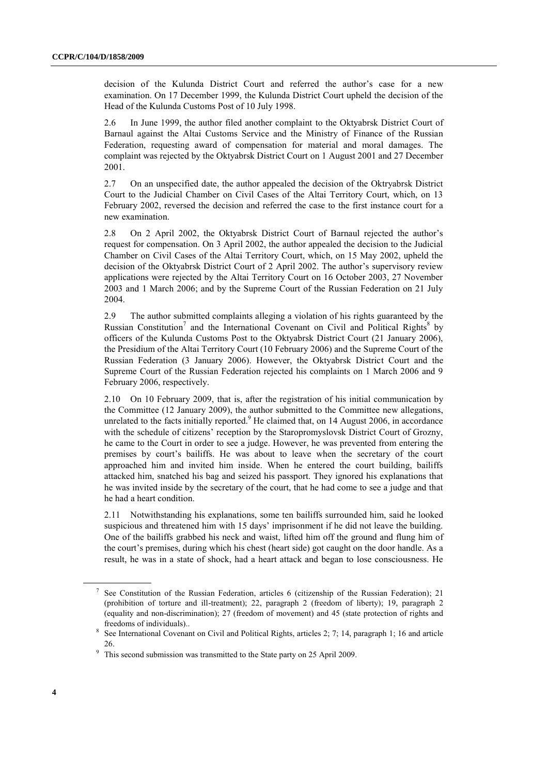decision of the Kulunda District Court and referred the author's case for a new examination. On 17 December 1999, the Kulunda District Court upheld the decision of the Head of the Kulunda Customs Post of 10 July 1998.

2.6 In June 1999, the author filed another complaint to the Oktyabrsk District Court of Barnaul against the Altai Customs Service and the Ministry of Finance of the Russian Federation, requesting award of compensation for material and moral damages. The complaint was rejected by the Oktyabrsk District Court on 1 August 2001 and 27 December 2001.

2.7 On an unspecified date, the author appealed the decision of the Oktryabrsk District Court to the Judicial Chamber on Civil Cases of the Altai Territory Court, which, on 13 February 2002, reversed the decision and referred the case to the first instance court for a new examination.

2.8 On 2 April 2002, the Oktyabrsk District Court of Barnaul rejected the author's request for compensation. On 3 April 2002, the author appealed the decision to the Judicial Chamber on Civil Cases of the Altai Territory Court, which, on 15 May 2002, upheld the decision of the Oktyabrsk District Court of 2 April 2002. The author's supervisory review applications were rejected by the Altai Territory Court on 16 October 2003, 27 November 2003 and 1 March 2006; and by the Supreme Court of the Russian Federation on 21 July 2004.

2.9 The author submitted complaints alleging a violation of his rights guaranteed by the Russian Constitution<sup>7</sup> and the International Covenant on Civil and Political Rights<sup>8</sup> by officers of the Kulunda Customs Post to the Oktyabrsk District Court (21 January 2006), the Presidium of the Altai Territory Court (10 February 2006) and the Supreme Court of the Russian Federation (3 January 2006). However, the Oktyabrsk District Court and the Supreme Court of the Russian Federation rejected his complaints on 1 March 2006 and 9 February 2006, respectively.

2.10 On 10 February 2009, that is, after the registration of his initial communication by the Committee (12 January 2009), the author submitted to the Committee new allegations, unrelated to the facts initially reported. $9$  He claimed that, on 14 August 2006, in accordance with the schedule of citizens' reception by the Staropromyslovsk District Court of Grozny, he came to the Court in order to see a judge. However, he was prevented from entering the premises by court's bailiffs. He was about to leave when the secretary of the court approached him and invited him inside. When he entered the court building, bailiffs attacked him, snatched his bag and seized his passport. They ignored his explanations that he was invited inside by the secretary of the court, that he had come to see a judge and that he had a heart condition.

2.11 Notwithstanding his explanations, some ten bailiffs surrounded him, said he looked suspicious and threatened him with 15 days' imprisonment if he did not leave the building. One of the bailiffs grabbed his neck and waist, lifted him off the ground and flung him of the court's premises, during which his chest (heart side) got caught on the door handle. As a result, he was in a state of shock, had a heart attack and began to lose consciousness. He

<sup>7</sup> See Constitution of the Russian Federation, articles 6 (citizenship of the Russian Federation); 21 (prohibition of torture and ill-treatment); 22, paragraph 2 (freedom of liberty); 19, paragraph 2 (equality and non-discrimination); 27 (freedom of movement) and 45 (state protection of rights and freedoms of individuals)..

<sup>8</sup> See International Covenant on Civil and Political Rights, articles 2; 7; 14, paragraph 1; 16 and article 26.

<sup>&</sup>lt;sup>9</sup> This second submission was transmitted to the State party on 25 April 2009.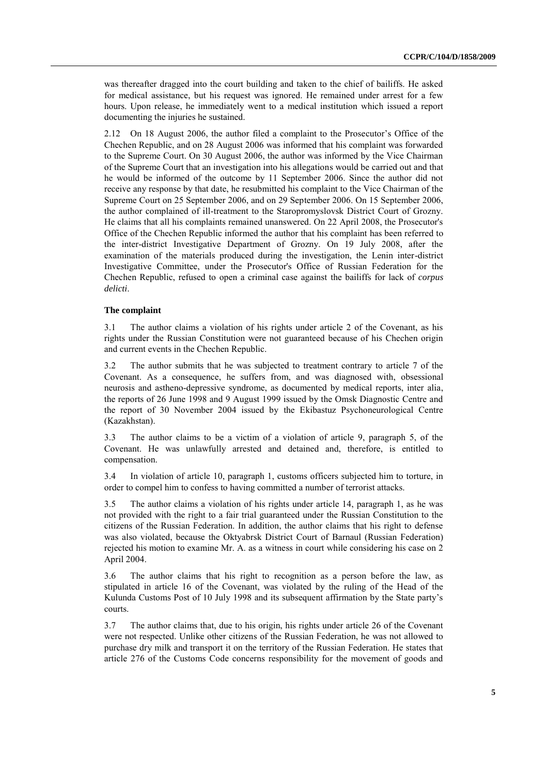was thereafter dragged into the court building and taken to the chief of bailiffs. He asked for medical assistance, but his request was ignored. He remained under arrest for a few hours. Upon release, he immediately went to a medical institution which issued a report documenting the injuries he sustained.

2.12 On 18 August 2006, the author filed a complaint to the Prosecutor's Office of the Chechen Republic, and on 28 August 2006 was informed that his complaint was forwarded to the Supreme Court. On 30 August 2006, the author was informed by the Vice Chairman of the Supreme Court that an investigation into his allegations would be carried out and that he would be informed of the outcome by 11 September 2006. Since the author did not receive any response by that date, he resubmitted his complaint to the Vice Chairman of the Supreme Court on 25 September 2006, and on 29 September 2006. On 15 September 2006, the author complained of ill-treatment to the Staropromyslovsk District Court of Grozny. He claims that all his complaints remained unanswered. On 22 April 2008, the Prosecutor's Office of the Chechen Republic informed the author that his complaint has been referred to the inter-district Investigative Department of Grozny. On 19 July 2008, after the examination of the materials produced during the investigation, the Lenin inter-district Investigative Committee, under the Prosecutor's Office of Russian Federation for the Chechen Republic, refused to open a criminal case against the bailiffs for lack of *corpus delicti*.

### **The complaint**

3.1 The author claims a violation of his rights under article 2 of the Covenant, as his rights under the Russian Constitution were not guaranteed because of his Chechen origin and current events in the Chechen Republic.

3.2 The author submits that he was subjected to treatment contrary to article 7 of the Covenant. As a consequence, he suffers from, and was diagnosed with, obsessional neurosis and astheno-depressive syndrome, as documented by medical reports, inter alia, the reports of 26 June 1998 and 9 August 1999 issued by the Omsk Diagnostic Centre and the report of 30 November 2004 issued by the Ekibastuz Psychoneurological Centre (Kazakhstan).

3.3 The author claims to be a victim of a violation of article 9, paragraph 5, of the Covenant. He was unlawfully arrested and detained and, therefore, is entitled to compensation.

3.4 In violation of article 10, paragraph 1, customs officers subjected him to torture, in order to compel him to confess to having committed a number of terrorist attacks.

3.5 The author claims a violation of his rights under article 14, paragraph 1, as he was not provided with the right to a fair trial guaranteed under the Russian Constitution to the citizens of the Russian Federation. In addition, the author claims that his right to defense was also violated, because the Oktyabrsk District Court of Barnaul (Russian Federation) rejected his motion to examine Mr. A. as a witness in court while considering his case on 2 April 2004.

3.6 The author claims that his right to recognition as a person before the law, as stipulated in article 16 of the Covenant, was violated by the ruling of the Head of the Kulunda Customs Post of 10 July 1998 and its subsequent affirmation by the State party's courts.

3.7 The author claims that, due to his origin, his rights under article 26 of the Covenant were not respected. Unlike other citizens of the Russian Federation, he was not allowed to purchase dry milk and transport it on the territory of the Russian Federation. He states that article 276 of the Customs Code concerns responsibility for the movement of goods and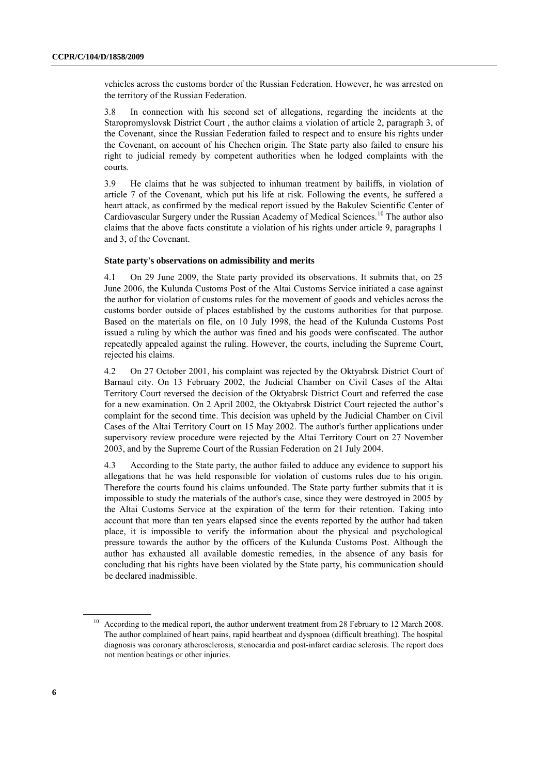vehicles across the customs border of the Russian Federation. However, he was arrested on the territory of the Russian Federation.

3.8 In connection with his second set of allegations, regarding the incidents at the Staropromyslovsk District Court , the author claims a violation of article 2, paragraph 3, of the Covenant, since the Russian Federation failed to respect and to ensure his rights under the Covenant, on account of his Chechen origin. The State party also failed to ensure his right to judicial remedy by competent authorities when he lodged complaints with the courts.

3.9 He claims that he was subjected to inhuman treatment by bailiffs, in violation of article 7 of the Covenant, which put his life at risk. Following the events, he suffered a heart attack, as confirmed by the medical report issued by the Bakulev Scientific Center of Cardiovascular Surgery under the Russian Academy of Medical Sciences.<sup>10</sup> The author also claims that the above facts constitute a violation of his rights under article 9, paragraphs 1 and 3, of the Covenant.

#### **State party's observations on admissibility and merits**

4.1 On 29 June 2009, the State party provided its observations. It submits that, on 25 June 2006, the Kulunda Customs Post of the Altai Customs Service initiated a case against the author for violation of customs rules for the movement of goods and vehicles across the customs border outside of places established by the customs authorities for that purpose. Based on the materials on file, on 10 July 1998, the head of the Kulunda Customs Post issued a ruling by which the author was fined and his goods were confiscated. The author repeatedly appealed against the ruling. However, the courts, including the Supreme Court, rejected his claims.

4.2 On 27 October 2001, his complaint was rejected by the Oktyabrsk District Court of Barnaul city. On 13 February 2002, the Judicial Chamber on Civil Cases of the Altai Territory Court reversed the decision of the Oktyabrsk District Court and referred the case for a new examination. On 2 April 2002, the Oktyabrsk District Court rejected the author's complaint for the second time. This decision was upheld by the Judicial Chamber on Civil Cases of the Altai Territory Court on 15 May 2002. The author's further applications under supervisory review procedure were rejected by the Altai Territory Court on 27 November 2003, and by the Supreme Court of the Russian Federation on 21 July 2004.

4.3 According to the State party, the author failed to adduce any evidence to support his allegations that he was held responsible for violation of customs rules due to his origin. Therefore the courts found his claims unfounded. The State party further submits that it is impossible to study the materials of the author's case, since they were destroyed in 2005 by the Altai Customs Service at the expiration of the term for their retention. Taking into account that more than ten years elapsed since the events reported by the author had taken place, it is impossible to verify the information about the physical and psychological pressure towards the author by the officers of the Kulunda Customs Post. Although the author has exhausted all available domestic remedies, in the absence of any basis for concluding that his rights have been violated by the State party, his communication should be declared inadmissible.

<sup>&</sup>lt;sup>10</sup> According to the medical report, the author underwent treatment from 28 February to 12 March 2008. The author complained of heart pains, rapid heartbeat and dyspnoea (difficult breathing). The hospital diagnosis was coronary atherosclerosis, stenocardia and post-infarct cardiac sclerosis. The report does not mention beatings or other injuries.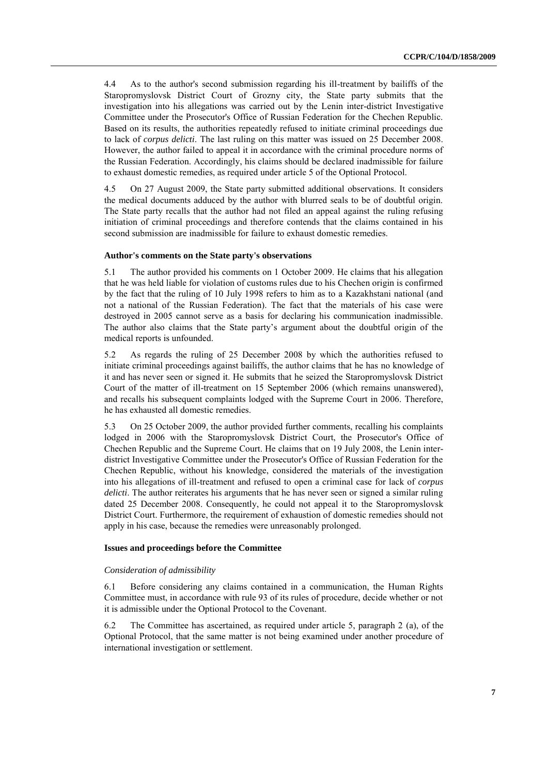4.4 As to the author's second submission regarding his ill-treatment by bailiffs of the Staropromyslovsk District Court of Grozny city, the State party submits that the investigation into his allegations was carried out by the Lenin inter-district Investigative Committee under the Prosecutor's Office of Russian Federation for the Chechen Republic. Based on its results, the authorities repeatedly refused to initiate criminal proceedings due to lack of *corpus delicti*. The last ruling on this matter was issued on 25 December 2008. However, the author failed to appeal it in accordance with the criminal procedure norms of the Russian Federation. Accordingly, his claims should be declared inadmissible for failure to exhaust domestic remedies, as required under article 5 of the Optional Protocol.

4.5 On 27 August 2009, the State party submitted additional observations. It considers the medical documents adduced by the author with blurred seals to be of doubtful origin. The State party recalls that the author had not filed an appeal against the ruling refusing initiation of criminal proceedings and therefore contends that the claims contained in his second submission are inadmissible for failure to exhaust domestic remedies.

#### **Author's comments on the State party's observations**

5.1 The author provided his comments on 1 October 2009. He claims that his allegation that he was held liable for violation of customs rules due to his Chechen origin is confirmed by the fact that the ruling of 10 July 1998 refers to him as to a Kazakhstani national (and not a national of the Russian Federation). The fact that the materials of his case were destroyed in 2005 cannot serve as a basis for declaring his communication inadmissible. The author also claims that the State party's argument about the doubtful origin of the medical reports is unfounded.

5.2 As regards the ruling of 25 December 2008 by which the authorities refused to initiate criminal proceedings against bailiffs, the author claims that he has no knowledge of it and has never seen or signed it. He submits that he seized the Staropromyslovsk District Court of the matter of ill-treatment on 15 September 2006 (which remains unanswered), and recalls his subsequent complaints lodged with the Supreme Court in 2006. Therefore, he has exhausted all domestic remedies.

5.3 On 25 October 2009, the author provided further comments, recalling his complaints lodged in 2006 with the Staropromyslovsk District Court, the Prosecutor's Office of Chechen Republic and the Supreme Court. He claims that on 19 July 2008, the Lenin interdistrict Investigative Committee under the Prosecutor's Office of Russian Federation for the Chechen Republic, without his knowledge, considered the materials of the investigation into his allegations of ill-treatment and refused to open a criminal case for lack of *corpus delicti*. The author reiterates his arguments that he has never seen or signed a similar ruling dated 25 December 2008. Consequently, he could not appeal it to the Staropromyslovsk District Court. Furthermore, the requirement of exhaustion of domestic remedies should not apply in his case, because the remedies were unreasonably prolonged.

#### **Issues and proceedings before the Committee**

#### *Consideration of admissibility*

6.1 Before considering any claims contained in a communication, the Human Rights Committee must, in accordance with rule 93 of its rules of procedure, decide whether or not it is admissible under the Optional Protocol to the Covenant.

6.2 The Committee has ascertained, as required under article 5, paragraph 2 (a), of the Optional Protocol, that the same matter is not being examined under another procedure of international investigation or settlement.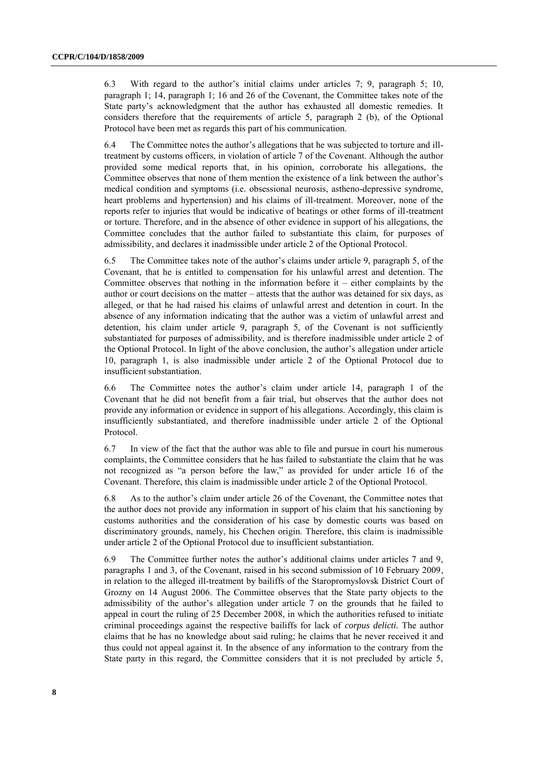6.3 With regard to the author's initial claims under articles 7; 9, paragraph 5; 10, paragraph 1; 14, paragraph 1; 16 and 26 of the Covenant, the Committee takes note of the State party's acknowledgment that the author has exhausted all domestic remedies. It considers therefore that the requirements of article 5, paragraph 2 (b), of the Optional Protocol have been met as regards this part of his communication.

6.4 The Committee notes the author's allegations that he was subjected to torture and illtreatment by customs officers, in violation of article 7 of the Covenant. Although the author provided some medical reports that, in his opinion, corroborate his allegations, the Committee observes that none of them mention the existence of a link between the author's medical condition and symptoms (i.e. obsessional neurosis, astheno-depressive syndrome, heart problems and hypertension) and his claims of ill-treatment. Moreover, none of the reports refer to injuries that would be indicative of beatings or other forms of ill-treatment or torture. Therefore, and in the absence of other evidence in support of his allegations, the Committee concludes that the author failed to substantiate this claim, for purposes of admissibility, and declares it inadmissible under article 2 of the Optional Protocol.

6.5 The Committee takes note of the author's claims under article 9, paragraph 5, of the Covenant, that he is entitled to compensation for his unlawful arrest and detention. The Committee observes that nothing in the information before it  $-$  either complaints by the author or court decisions on the matter – attests that the author was detained for six days, as alleged, or that he had raised his claims of unlawful arrest and detention in court. In the absence of any information indicating that the author was a victim of unlawful arrest and detention, his claim under article 9, paragraph 5, of the Covenant is not sufficiently substantiated for purposes of admissibility, and is therefore inadmissible under article 2 of the Optional Protocol. In light of the above conclusion, the author's allegation under article 10, paragraph 1, is also inadmissible under article 2 of the Optional Protocol due to insufficient substantiation.

6.6 The Committee notes the author's claim under article 14, paragraph 1 of the Covenant that he did not benefit from a fair trial, but observes that the author does not provide any information or evidence in support of his allegations. Accordingly, this claim is insufficiently substantiated, and therefore inadmissible under article 2 of the Optional Protocol.

6.7 In view of the fact that the author was able to file and pursue in court his numerous complaints, the Committee considers that he has failed to substantiate the claim that he was not recognized as "a person before the law," as provided for under article 16 of the Covenant. Therefore, this claim is inadmissible under article 2 of the Optional Protocol.

6.8 As to the author's claim under article 26 of the Covenant, the Committee notes that the author does not provide any information in support of his claim that his sanctioning by customs authorities and the consideration of his case by domestic courts was based on discriminatory grounds, namely, his Chechen origin. Therefore, this claim is inadmissible under article 2 of the Optional Protocol due to insufficient substantiation.

6.9 The Committee further notes the author's additional claims under articles 7 and 9, paragraphs 1 and 3, of the Covenant, raised in his second submission of 10 February 2009, in relation to the alleged ill-treatment by bailiffs of the Staropromyslovsk District Court of Grozny on 14 August 2006. The Committee observes that the State party objects to the admissibility of the author's allegation under article 7 on the grounds that he failed to appeal in court the ruling of 25 December 2008, in which the authorities refused to initiate criminal proceedings against the respective bailiffs for lack of *corpus delicti.* The author claims that he has no knowledge about said ruling; he claims that he never received it and thus could not appeal against it. In the absence of any information to the contrary from the State party in this regard, the Committee considers that it is not precluded by article 5,